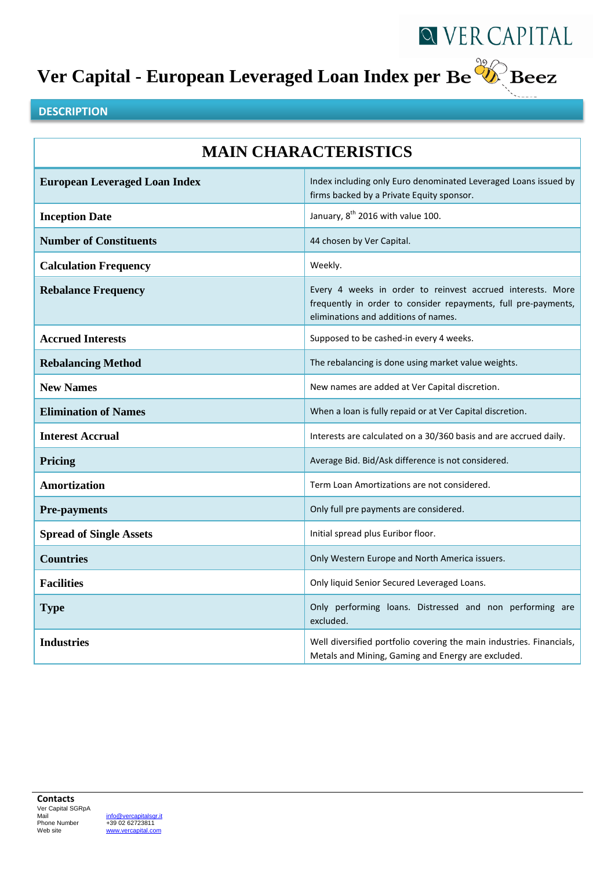# **Ver Capital - European Leveraged Loan Index per**



#### **DESCRIPTION**

| <b>MAIN CHARACTERISTICS</b>          |                                                                                                                                                                      |  |
|--------------------------------------|----------------------------------------------------------------------------------------------------------------------------------------------------------------------|--|
| <b>European Leveraged Loan Index</b> | Index including only Euro denominated Leveraged Loans issued by<br>firms backed by a Private Equity sponsor.                                                         |  |
| <b>Inception Date</b>                | January, 8 <sup>th</sup> 2016 with value 100.                                                                                                                        |  |
| <b>Number of Constituents</b>        | 44 chosen by Ver Capital.                                                                                                                                            |  |
| <b>Calculation Frequency</b>         | Weekly.                                                                                                                                                              |  |
| <b>Rebalance Frequency</b>           | Every 4 weeks in order to reinvest accrued interests. More<br>frequently in order to consider repayments, full pre-payments,<br>eliminations and additions of names. |  |
| <b>Accrued Interests</b>             | Supposed to be cashed-in every 4 weeks.                                                                                                                              |  |
| <b>Rebalancing Method</b>            | The rebalancing is done using market value weights.                                                                                                                  |  |
| <b>New Names</b>                     | New names are added at Ver Capital discretion.                                                                                                                       |  |
| <b>Elimination of Names</b>          | When a loan is fully repaid or at Ver Capital discretion.                                                                                                            |  |
| <b>Interest Accrual</b>              | Interests are calculated on a 30/360 basis and are accrued daily.                                                                                                    |  |
| Pricing                              | Average Bid. Bid/Ask difference is not considered.                                                                                                                   |  |
| <b>Amortization</b>                  | Term Loan Amortizations are not considered.                                                                                                                          |  |
| <b>Pre-payments</b>                  | Only full pre payments are considered.                                                                                                                               |  |
| <b>Spread of Single Assets</b>       | Initial spread plus Euribor floor.                                                                                                                                   |  |
| <b>Countries</b>                     | Only Western Europe and North America issuers.                                                                                                                       |  |
| <b>Facilities</b>                    | Only liquid Senior Secured Leveraged Loans.                                                                                                                          |  |
| <b>Type</b>                          | Only performing loans. Distressed and non performing are<br>excluded.                                                                                                |  |
| <b>Industries</b>                    | Well diversified portfolio covering the main industries. Financials,<br>Metals and Mining, Gaming and Energy are excluded.                                           |  |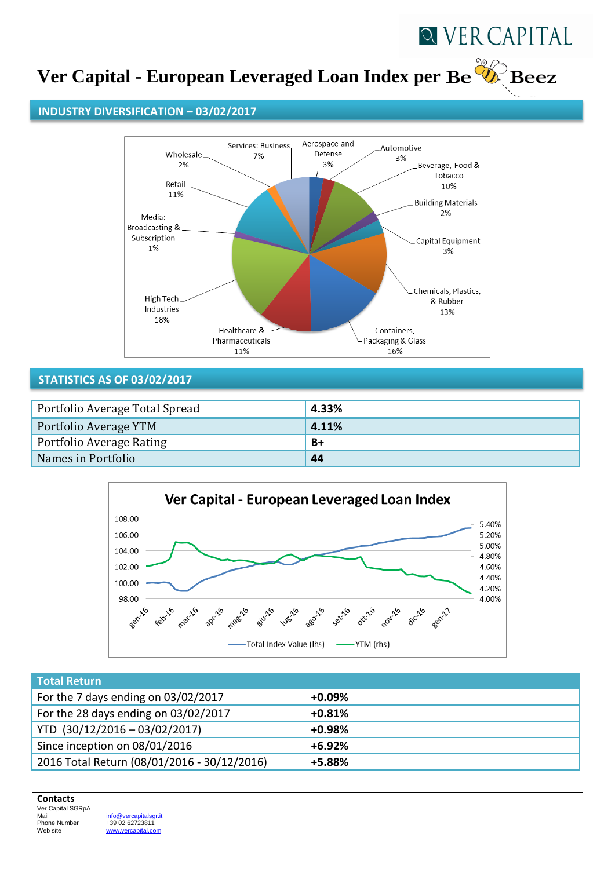

## **Ver Capital - European Leveraged Loan Index per**

#### **INDUSTRY DIVERSIFICATION – 03/02/2017**



#### **STATISTICS AS OF 03/02/2017**

| Portfolio Average Total Spread | 4.33% |
|--------------------------------|-------|
| Portfolio Average YTM          | 4.11% |
| Portfolio Average Rating       | $B+$  |
| Names in Portfolio             | 44    |



| <b>Total Return</b>                         |           |
|---------------------------------------------|-----------|
| For the 7 days ending on 03/02/2017         | $+0.09\%$ |
| For the 28 days ending on 03/02/2017        | $+0.81%$  |
| YTD (30/12/2016 - 03/02/2017)               | $+0.98%$  |
| Since inception on 08/01/2016               | $+6.92%$  |
| 2016 Total Return (08/01/2016 - 30/12/2016) | +5.88%    |

#### **Contacts**

Ver Capital SGRpA